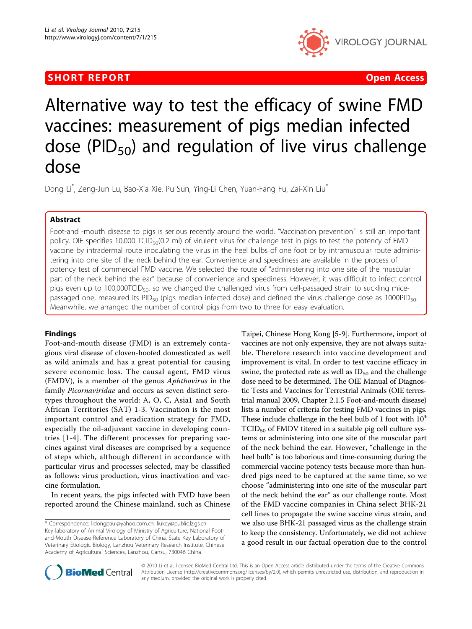## **SHORT REPORT CONSUMING THE CONSUMING THE CONSUMING THE CONSUMING THE CONSUMING THE CONSUMING THE CONSUMING THE CONSUMING THE CONSUMING THE CONSUMING THE CONSUMING THE CONSUMING THE CONSUMING THE CONSUMING THE CONSUMING TH**



# Alternative way to test the efficacy of swine FMD vaccines: measurement of pigs median infected dose (PID $_{50}$ ) and regulation of live virus challenge dose

Dong Li ٌ, Zeng-Jun Lu, Bao-Xia Xie, Pu Sun, Ying-Li Chen, Yuan-Fang Fu, Zai-Xin Liu

## Abstract

Foot-and -mouth disease to pigs is serious recently around the world. "Vaccination prevention" is still an important policy. OIE specifies 10,000 TCID<sub>50</sub>(0.2 ml) of virulent virus for challenge test in pigs to test the potency of FMD vaccine by intradermal route inoculating the virus in the heel bulbs of one foot or by intramuscular route administering into one site of the neck behind the ear. Convenience and speediness are available in the process of potency test of commercial FMD vaccine. We selected the route of "administering into one site of the muscular part of the neck behind the ear" because of convenience and speediness. However, it was difficult to infect control pigs even up to 100,000TCID<sub>50</sub>, so we changed the challenged virus from cell-passaged strain to suckling micepassaged one, measured its PID<sub>50</sub> (pigs median infected dose) and defined the virus challenge dose as 1000PID<sub>50</sub>. Meanwhile, we arranged the number of control pigs from two to three for easy evaluation.

### Findings

Foot-and-mouth disease (FMD) is an extremely contagious viral disease of cloven-hoofed domesticated as well as wild animals and has a great potential for causing severe economic loss. The causal agent, FMD virus (FMDV), is a member of the genus Aphthovirus in the family Picornaviridae and occurs as seven distinct serotypes throughout the world: A, O, C, Asia1 and South African Territories (SAT) 1-3. Vaccination is the most important control and eradication strategy for FMD, especially the oil-adjuvant vaccine in developing countries [[1-4\]](#page-2-0). The different processes for preparing vaccines against viral diseases are comprised by a sequence of steps which, although different in accordance with particular virus and processes selected, may be classified as follows: virus production, virus inactivation and vaccine formulation.

In recent years, the pigs infected with FMD have been reported around the Chinese mainland, such as Chinese

Taipei, Chinese Hong Kong [[5-9](#page-2-0)]. Furthermore, import of vaccines are not only expensive, they are not always suitable. Therefore research into vaccine development and improvement is vital. In order to test vaccine efficacy in swine, the protected rate as well as  $ID_{50}$  and the challenge dose need to be determined. The OIE Manual of Diagnostic Tests and Vaccines for Terrestrial Animals (OIE terrestrial manual 2009, Chapter 2.1.5 Foot-and-mouth disease) lists a number of criteria for testing FMD vaccines in pigs. These include challenge in the heel bulb of 1 foot with  $10<sup>4</sup>$  $TCID<sub>50</sub>$  of FMDV titered in a suitable pig cell culture systems or administering into one site of the muscular part of the neck behind the ear. However, "challenge in the heel bulb" is too laborious and time-consuming during the commercial vaccine potency tests because more than hundred pigs need to be captured at the same time, so we choose "administering into one site of the muscular part of the neck behind the ear" as our challenge route. Most of the FMD vaccine companies in China select BHK-21 cell lines to propagate the swine vaccine virus strain, and we also use BHK-21 passaged virus as the challenge strain to keep the consistency. Unfortunately, we did not achieve a good result in our factual operation due to the control



© 2010 Li et al; licensee BioMed Central Ltd. This is an Open Access article distributed under the terms of the Creative Commons Attribution License [\(http://creativecommons.org/licenses/by/2.0](http://creativecommons.org/licenses/by/2.0)), which permits unrestricted use, distribution, and reproduction in any medium, provided the original work is properly cited.

<sup>\*</sup> Correspondence: [lidongpaul@yahoo.com.cn](mailto:lidongpaul@yahoo.com.cn); [liukey@public.lz.gs.cn](mailto:liukey@public.lz.gs.cn) Key laboratory of Animal Virology of Ministry of Agriculture, National Footand-Mouth Disease Reference Laboratory of China, State Key Laboratory of Veterinary Etiologic Biology, Lanzhou Veterinary Research Institute, Chinese Academy of Agricultural Sciences, Lanzhou, Gansu, 730046 China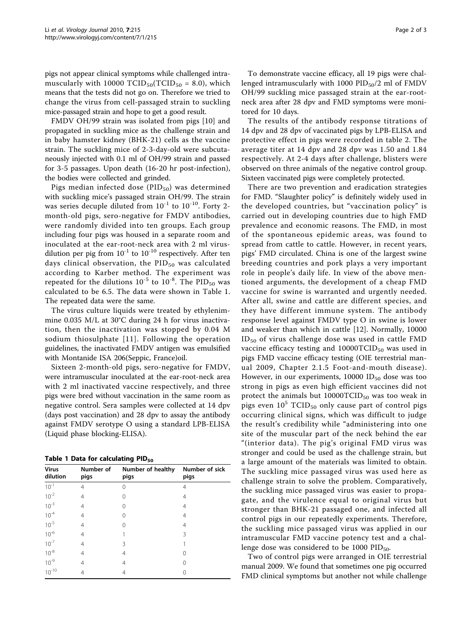pigs not appear clinical symptoms while challenged intramuscularly with 10000  $\text{TCID}_{50}(\text{TCID}_{50} = 8.0)$ , which means that the tests did not go on. Therefore we tried to change the virus from cell-passaged strain to suckling mice-passaged strain and hope to get a good result.

FMDV OH/99 strain was isolated from pigs [\[10\]](#page-2-0) and propagated in suckling mice as the challenge strain and in baby hamster kidney (BHK-21) cells as the vaccine strain. The suckling mice of 2-3-day-old were subcutaneously injected with 0.1 ml of OH/99 strain and passed for 3-5 passages. Upon death (16-20 hr post-infection), the bodies were collected and grinded.

Pigs median infected dose  $(PID_{50})$  was determined with suckling mice's passaged strain OH/99. The strain was series decuple diluted from  $10^{-1}$  to  $10^{-10}$ . Forty 2month-old pigs, sero-negative for FMDV antibodies, were randomly divided into ten groups. Each group including four pigs was housed in a separate room and inoculated at the ear-root-neck area with 2 ml virusdilution per pig from  $10^{-1}$  to  $10^{-10}$  respectively. After ten days clinical observation, the  $PID_{50}$  was calculated according to Karber method. The experiment was repeated for the dilutions  $10^{-5}$  to  $10^{-8}$ . The PID<sub>50</sub> was calculated to be 6.5. The data were shown in Table 1. The repeated data were the same.

The virus culture liquids were treated by ethylenimmine 0.035 M/L at 30°C during 24 h for virus inactivation, then the inactivation was stopped by 0.04 M sodium thiosulphate [[11](#page-2-0)]. Following the operation guidelines, the inactivated FMDV antigen was emulsified with Montanide ISA 206(Seppic, France)oil.

Sixteen 2-month-old pigs, sero-negative for FMDV, were intramuscular inoculated at the ear-root-neck area with 2 ml inactivated vaccine respectively, and three pigs were bred without vaccination in the same room as negative control. Sera samples were collected at 14 dpv (days post vaccination) and 28 dpv to assay the antibody against FMDV serotype O using a standard LPB-ELISA (Liquid phase blocking-ELISA).

| Table 1 Data for calculating PID <sub>50</sub> |
|------------------------------------------------|
|------------------------------------------------|

| <b>Virus</b><br>dilution | Number of<br>pigs | Number of healthy<br>pigs | Number of sick<br>pigs |  |  |  |  |
|--------------------------|-------------------|---------------------------|------------------------|--|--|--|--|
| $10^{-1}$                | 4                 | 0                         | 4                      |  |  |  |  |
| $10^{-2}$                | 4                 | 0                         | 4                      |  |  |  |  |
| $10^{-3}$                | 4                 | 0                         | 4                      |  |  |  |  |
| $10^{-4}$                | 4                 | Ω                         | 4                      |  |  |  |  |
| $10^{-5}$                | 4                 | Ω                         | 4                      |  |  |  |  |
| $10^{-6}$                | 4                 |                           | 3                      |  |  |  |  |
| $10^{-7}$                | 4                 | 3                         |                        |  |  |  |  |
| $10^{-8}$                | 4                 | 4                         |                        |  |  |  |  |
| $10^{-9}$                | 4                 | 4                         |                        |  |  |  |  |
| $10^{-10}$               | 4                 | 4                         |                        |  |  |  |  |

To demonstrate vaccine efficacy, all 19 pigs were challenged intramuscularly with 1000  $PID_{50}/2$  ml of FMDV OH/99 suckling mice passaged strain at the ear-rootneck area after 28 dpv and FMD symptoms were monitored for 10 days.

The results of the antibody response titrations of 14 dpv and 28 dpv of vaccinated pigs by LPB-ELISA and protective effect in pigs were recorded in table [2](#page-2-0). The average titer at 14 dpv and 28 dpv was 1.50 and 1.84 respectively. At 2-4 days after challenge, blisters were observed on three animals of the negative control group. Sixteen vaccinated pigs were completely protected.

There are two prevention and eradication strategies for FMD. "Slaughter policy" is definitely widely used in the developed countries, but "vaccination policy" is carried out in developing countries due to high FMD prevalence and economic reasons. The FMD, in most of the spontaneous epidemic areas, was found to spread from cattle to cattle. However, in recent years, pigs' FMD circulated. China is one of the largest swine breeding countries and pork plays a very important role in people's daily life. In view of the above mentioned arguments, the development of a cheap FMD vaccine for swine is warranted and urgently needed. After all, swine and cattle are different species, and they have different immune system. The antibody response level against FMDV type O in swine is lower and weaker than which in cattle [[12](#page-2-0)]. Normally, 10000  $ID_{50}$  of virus challenge dose was used in cattle FMD vaccine efficacy testing and  $10000TCID_{50}$  was used in pigs FMD vaccine efficacy testing (OIE terrestrial manual 2009, Chapter 2.1.5 Foot-and-mouth disease). However, in our experiments,  $10000$  ID<sub>50</sub> dose was too strong in pigs as even high efficient vaccines did not protect the animals but  $10000TCID_{50}$  was too weak in pigs even  $10^5$  TCID<sub>50</sub> only cause part of control pigs occurring clinical signs, which was difficult to judge the result's credibility while "administering into one site of the muscular part of the neck behind the ear "(interior data). The pig's original FMD virus was stronger and could be used as the challenge strain, but a large amount of the materials was limited to obtain. The suckling mice passaged virus was used here as challenge strain to solve the problem. Comparatively, the suckling mice passaged virus was easier to propagate, and the virulence equal to original virus but stronger than BHK-21 passaged one, and infected all control pigs in our repeatedly experiments. Therefore, the suckling mice passaged virus was applied in our intramuscular FMD vaccine potency test and a challenge dose was considered to be 1000 PID<sub>50</sub>.

Two of control pigs were arranged in OIE terrestrial manual 2009. We found that sometimes one pig occurred FMD clinical symptoms but another not while challenge